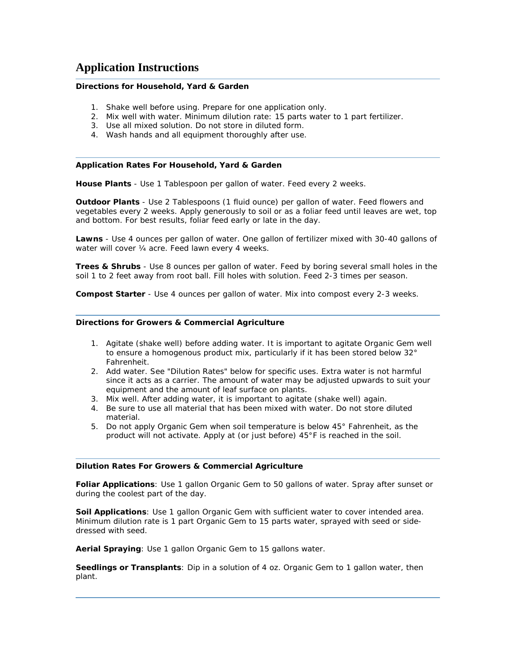# **Application Instructions**

# **Directions for Household, Yard & Garden**

- 1. Shake well before using. Prepare for one application only.
- 2. Mix well with water. Minimum dilution rate: 15 parts water to 1 part fertilizer.
- 3. Use all mixed solution. Do not store in diluted form.
- 4. Wash hands and all equipment thoroughly after use.

### **Application Rates For Household, Yard & Garden**

**House Plants** - Use 1 Tablespoon per gallon of water. Feed every 2 weeks.

**Outdoor Plants** - Use 2 Tablespoons (1 fluid ounce) per gallon of water. Feed flowers and vegetables every 2 weeks. Apply generously to soil or as a foliar feed until leaves are wet, top and bottom. For best results, foliar feed early or late in the day.

**Lawns** - Use 4 ounces per gallon of water. One gallon of fertilizer mixed with 30-40 gallons of water will cover 1/4 acre. Feed lawn every 4 weeks.

**Trees & Shrubs** - Use 8 ounces per gallon of water. Feed by boring several small holes in the soil 1 to 2 feet away from root ball. Fill holes with solution. Feed 2-3 times per season.

**Compost Starter** - Use 4 ounces per gallon of water. Mix into compost every 2-3 weeks.

### **Directions for Growers & Commercial Agriculture**

- 1. Agitate (shake well) before adding water. It is important to agitate Organic Gem well to ensure a homogenous product mix, particularly if it has been stored below 32° Fahrenheit.
- 2. Add water. See "Dilution Rates" below for specific uses. Extra water is not harmful since it acts as a carrier. The amount of water may be adjusted upwards to suit your equipment and the amount of leaf surface on plants.
- 3. Mix well. After adding water, it is important to agitate (shake well) again.
- 4. Be sure to use all material that has been mixed with water. Do not store diluted material.
- 5. Do not apply Organic Gem when soil temperature is below 45° Fahrenheit, as the product will not activate. Apply at (or just before) 45°F is reached in the soil.

### **Dilution Rates For Growers & Commercial Agriculture**

**Foliar Applications**: Use 1 gallon Organic Gem to 50 gallons of water. Spray after sunset or during the coolest part of the day.

**Soil Applications**: Use 1 gallon Organic Gem with sufficient water to cover intended area. Minimum dilution rate is 1 part Organic Gem to 15 parts water, sprayed with seed or sidedressed with seed.

**Aerial Spraying**: Use 1 gallon Organic Gem to 15 gallons water.

**Seedlings or Transplants**: Dip in a solution of 4 oz. Organic Gem to 1 gallon water, then plant.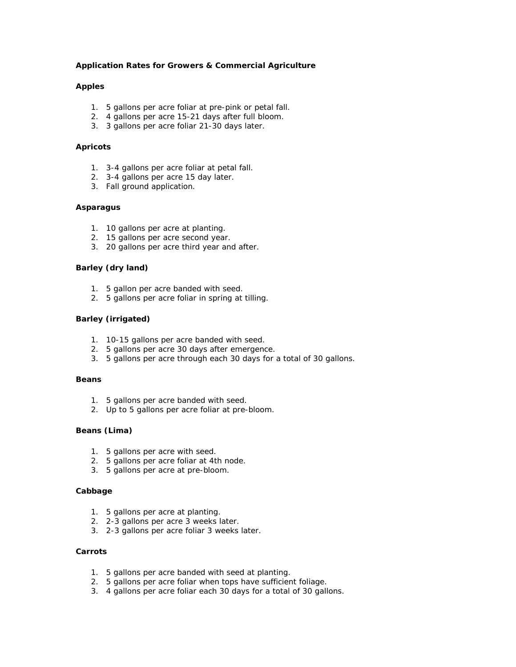# **Application Rates for Growers & Commercial Agriculture**

### **Apples**

- 1. 5 gallons per acre foliar at pre-pink or petal fall.
- 2. 4 gallons per acre 15-21 days after full bloom.
- 3. 3 gallons per acre foliar 21-30 days later.

### **Apricots**

- 1. 3-4 gallons per acre foliar at petal fall.
- 2. 3-4 gallons per acre 15 day later.
- 3. Fall ground application.

### **Asparagus**

- 1. 10 gallons per acre at planting.
- 2. 15 gallons per acre second year.
- 3. 20 gallons per acre third year and after.

# **Barley (dry land)**

- 1. 5 gallon per acre banded with seed.
- 2. 5 gallons per acre foliar in spring at tilling.

# **Barley (irrigated)**

- 1. 10-15 gallons per acre banded with seed.
- 2. 5 gallons per acre 30 days after emergence.
- 3. 5 gallons per acre through each 30 days for a total of 30 gallons.

### **Beans**

- 1. 5 gallons per acre banded with seed.
- 2. Up to 5 gallons per acre foliar at pre-bloom.

# **Beans (Lima)**

- 1. 5 gallons per acre with seed.
- 2. 5 gallons per acre foliar at 4th node.
- 3. 5 gallons per acre at pre-bloom.

### **Cabbage**

- 1. 5 gallons per acre at planting.
- 2. 2-3 gallons per acre 3 weeks later.
- 3. 2-3 gallons per acre foliar 3 weeks later.

# **Carrots**

- 1. 5 gallons per acre banded with seed at planting.
- 2. 5 gallons per acre foliar when tops have sufficient foliage.
- 3. 4 gallons per acre foliar each 30 days for a total of 30 gallons.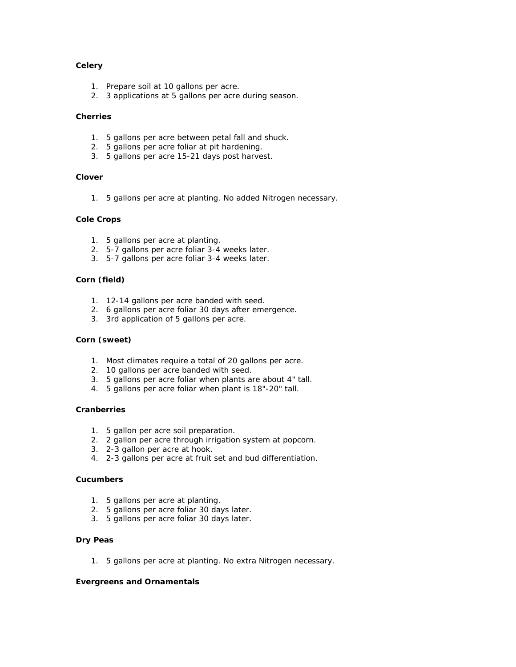# **Celery**

- 1. Prepare soil at 10 gallons per acre.
- 2. 3 applications at 5 gallons per acre during season.

# **Cherries**

- 1. 5 gallons per acre between petal fall and shuck.
- 2. 5 gallons per acre foliar at pit hardening.
- 3. 5 gallons per acre 15-21 days post harvest.

# **Clover**

1. 5 gallons per acre at planting. No added Nitrogen necessary.

# **Cole Crops**

- 1. 5 gallons per acre at planting.
- 2. 5-7 gallons per acre foliar 3-4 weeks later.
- 3. 5-7 gallons per acre foliar 3-4 weeks later.

# **Corn (field)**

- 1. 12-14 gallons per acre banded with seed.
- 2. 6 gallons per acre foliar 30 days after emergence.
- 3. 3rd application of 5 gallons per acre.

### **Corn (sweet)**

- 1. Most climates require a total of 20 gallons per acre.
- 2. 10 gallons per acre banded with seed.
- 3. 5 gallons per acre foliar when plants are about 4" tall.
- 4. 5 gallons per acre foliar when plant is 18"-20" tall.

# **Cranberries**

- 1. 5 gallon per acre soil preparation.
- 2. 2 gallon per acre through irrigation system at popcorn.
- 3. 2-3 gallon per acre at hook.
- 4. 2-3 gallons per acre at fruit set and bud differentiation.

### **Cucumbers**

- 1. 5 gallons per acre at planting.
- 2. 5 gallons per acre foliar 30 days later.
- 3. 5 gallons per acre foliar 30 days later.

### **Dry Peas**

1. 5 gallons per acre at planting. No extra Nitrogen necessary.

### **Evergreens and Ornamentals**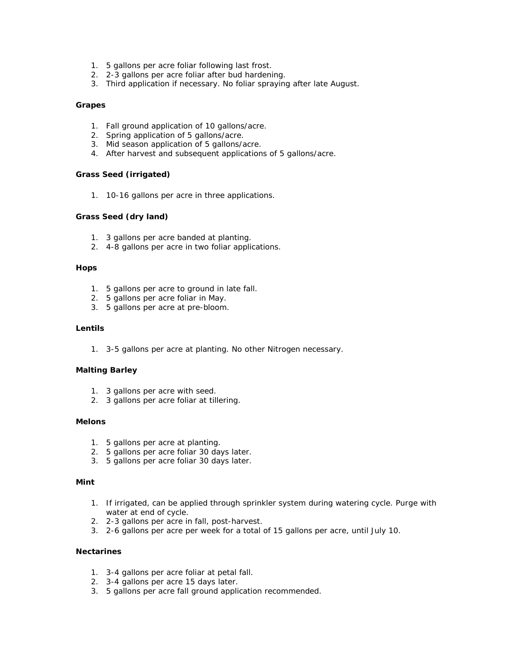- 1. 5 gallons per acre foliar following last frost.
- 2. 2-3 gallons per acre foliar after bud hardening.
- 3. Third application if necessary. No foliar spraying after late August.

# **Grapes**

- 1. Fall ground application of 10 gallons/acre.
- 2. Spring application of 5 gallons/acre.
- 3. Mid season application of 5 gallons/acre.
- 4. After harvest and subsequent applications of 5 gallons/acre.

# **Grass Seed (irrigated)**

1. 10-16 gallons per acre in three applications.

# **Grass Seed (dry land)**

- 1. 3 gallons per acre banded at planting.
- 2. 4-8 gallons per acre in two foliar applications.

### **Hops**

- 1. 5 gallons per acre to ground in late fall.
- 2. 5 gallons per acre foliar in May.
- 3. 5 gallons per acre at pre-bloom.

### **Lentils**

1. 3-5 gallons per acre at planting. No other Nitrogen necessary.

### **Malting Barley**

- 1. 3 gallons per acre with seed.
- 2. 3 gallons per acre foliar at tillering.

# **Melons**

- 1. 5 gallons per acre at planting.
- 2. 5 gallons per acre foliar 30 days later.
- 3. 5 gallons per acre foliar 30 days later.

# **Mint**

- 1. If irrigated, can be applied through sprinkler system during watering cycle. Purge with water at end of cycle.
- 2. 2-3 gallons per acre in fall, post-harvest.
- 3. 2-6 gallons per acre per week for a total of 15 gallons per acre, until July 10.

# **Nectarines**

- 1. 3-4 gallons per acre foliar at petal fall.
- 2. 3-4 gallons per acre 15 days later.
- 3. 5 gallons per acre fall ground application recommended.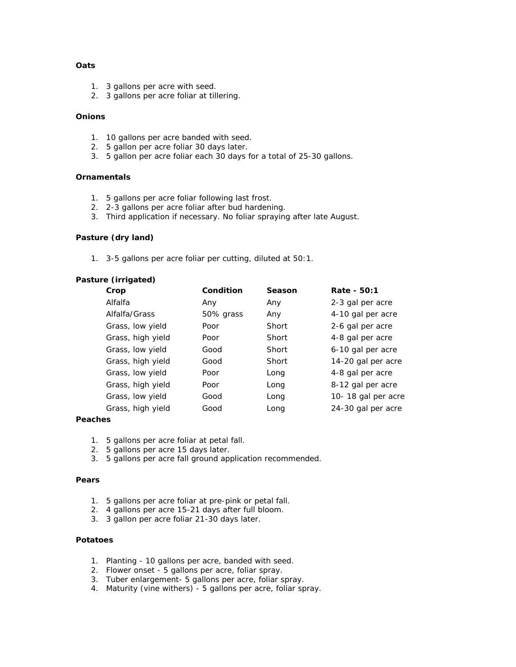# **Oats**

- 1. 3 gallons per acre with seed.
- 2. 3 gallons per acre foliar at tillering.

# **Onions**

- 1. 10 gallons per acre banded with seed.
- 2. 5 gallon per acre foliar 30 days later.
- 3. 5 gallon per acre foliar each 30 days for a total of 25-30 gallons.

### **Ornamentals**

- 1. 5 gallons per acre foliar following last frost.
- 2. 2-3 gallons per acre foliar after bud hardening.
- 3. Third application if necessary. No foliar spraying after late August.

# **Pasture (dry land)**

1. 3-5 gallons per acre foliar per cutting, diluted at 50:1.

### **Pasture (irrigated)**

| Crop              | Condition | Season | Rate - 50:1        |
|-------------------|-----------|--------|--------------------|
| Alfalfa           | Any       | Any    | 2-3 gal per acre   |
| Alfalfa/Grass     | 50% grass | Any    | 4-10 gal per acre  |
| Grass, low yield  | Poor      | Short  | 2-6 gal per acre   |
| Grass, high yield | Poor      | Short  | 4-8 gal per acre   |
| Grass, low yield  | Good      | Short  | 6-10 gal per acre  |
| Grass, high yield | Good      | Short  | 14-20 gal per acre |
| Grass, low yield  | Poor      | Long   | 4-8 gal per acre   |
| Grass, high yield | Poor      | Long   | 8-12 gal per acre  |
| Grass, low yield  | Good      | Long   | 10-18 gal per acre |
| Grass, high yield | Good      | Long   | 24-30 gal per acre |

### **Peaches**

- 1. 5 gallons per acre foliar at petal fall.
- 2. 5 gallons per acre 15 days later.
- 3. 5 gallons per acre fall ground application recommended.

### **Pears**

- 1. 5 gallons per acre foliar at pre-pink or petal fall.
- 2. 4 gallons per acre 15-21 days after full bloom.
- 3. 3 gallon per acre foliar 21-30 days later.

# **Potatoes**

- 1. Planting 10 gallons per acre, banded with seed.
- 2. Flower onset 5 gallons per acre, foliar spray.
- 3. Tuber enlargement- 5 gallons per acre, foliar spray.
- 4. Maturity (vine withers) 5 gallons per acre, foliar spray.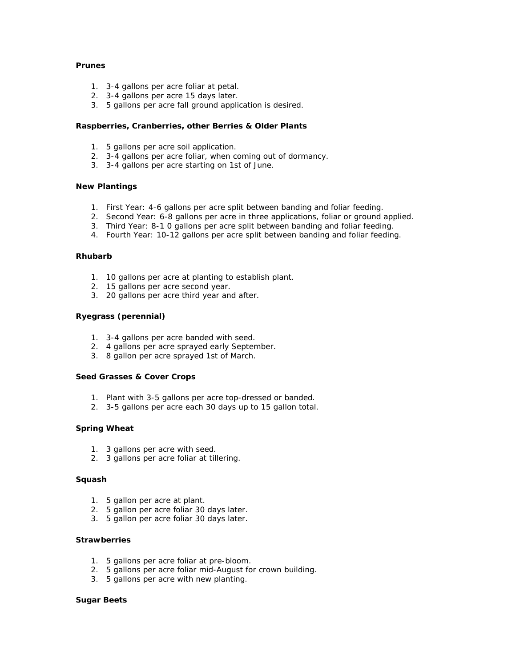# **Prunes**

- 1. 3-4 gallons per acre foliar at petal.
- 2. 3-4 gallons per acre 15 days later.
- 3. 5 gallons per acre fall ground application is desired.

# **Raspberries, Cranberries, other Berries & Older Plants**

- 1. 5 gallons per acre soil application.
- 2. 3-4 gallons per acre foliar, when coming out of dormancy.
- 3. 3-4 gallons per acre starting on 1st of June.

### **New Plantings**

- 1. First Year: 4-6 gallons per acre split between banding and foliar feeding.
- 2. Second Year: 6-8 gallons per acre in three applications, foliar or ground applied.
- 3. Third Year: 8-1 0 gallons per acre split between banding and foliar feeding.
- 4. Fourth Year: 10-12 gallons per acre split between banding and foliar feeding.

### **Rhubarb**

- 1. 10 gallons per acre at planting to establish plant.
- 2. 15 gallons per acre second year.
- 3. 20 gallons per acre third year and after.

### **Ryegrass (perennial)**

- 1. 3-4 gallons per acre banded with seed.
- 2. 4 gallons per acre sprayed early September.
- 3. 8 gallon per acre sprayed 1st of March.

#### **Seed Grasses & Cover Crops**

- 1. Plant with 3-5 gallons per acre top-dressed or banded.
- 2. 3-5 gallons per acre each 30 days up to 15 gallon total.

### **Spring Wheat**

- 1. 3 gallons per acre with seed.
- 2. 3 gallons per acre foliar at tillering.

### **Squash**

- 1. 5 gallon per acre at plant.
- 2. 5 gallon per acre foliar 30 days later.
- 3. 5 gallon per acre foliar 30 days later.

#### **Strawberries**

- 1. 5 gallons per acre foliar at pre-bloom.
- 2. 5 gallons per acre foliar mid-August for crown building.
- 3. 5 gallons per acre with new planting.

### **Sugar Beets**